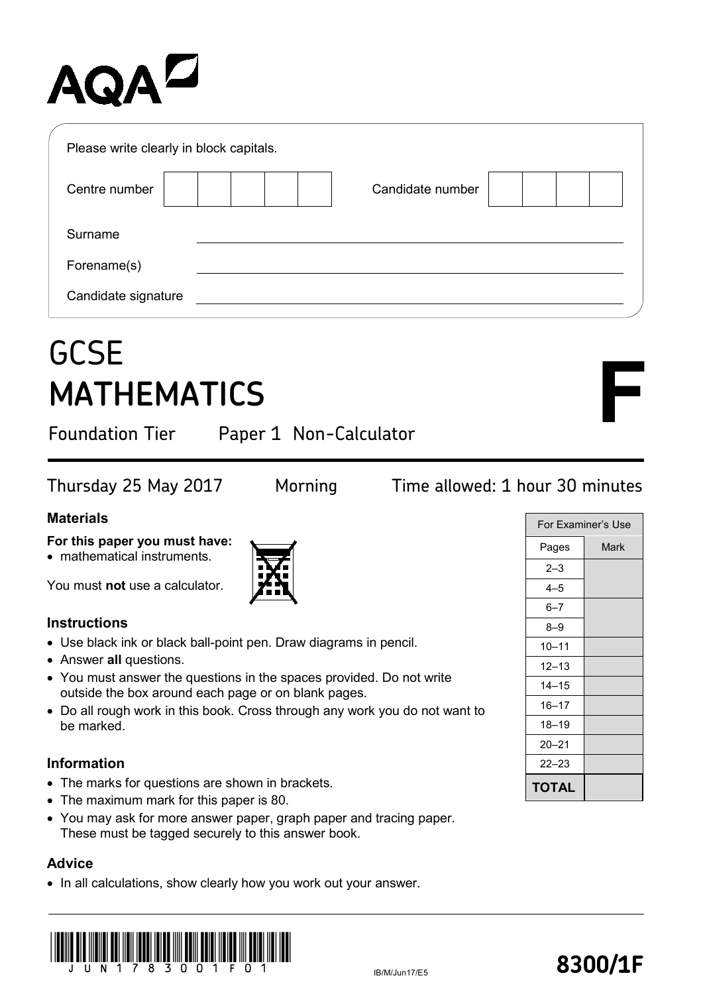# AQA

| Please write clearly in block capitals. |                  |  |
|-----------------------------------------|------------------|--|
| Centre number                           | Candidate number |  |
| Surname                                 |                  |  |
| Forename(s)                             |                  |  |
| Candidate signature                     |                  |  |

### **GCSE MATHEMATICS**

Foundation Tier Paper 1 Non-Calculator

#### Thursday 25 May 2017 Morning Time allowed: 1 hour 30 minutes

#### **Materials**

#### **For this paper you must have:**

• mathematical instruments.

You must **not** use a calculator.

#### **Instructions**

- Use black ink or black ball-point pen. Draw diagrams in pencil.
- Answer **all** questions.
- You must answer the questions in the spaces provided. Do not write outside the box around each page or on blank pages.
- Do all rough work in this book. Cross through any work you do not want to be marked.

#### **Information**

- The marks for questions are shown in brackets.
- The maximum mark for this paper is 80.
- You may ask for more answer paper, graph paper and tracing paper. These must be tagged securely to this answer book.

#### **Advice**

• In all calculations, show clearly how you work out your answer.





**F**

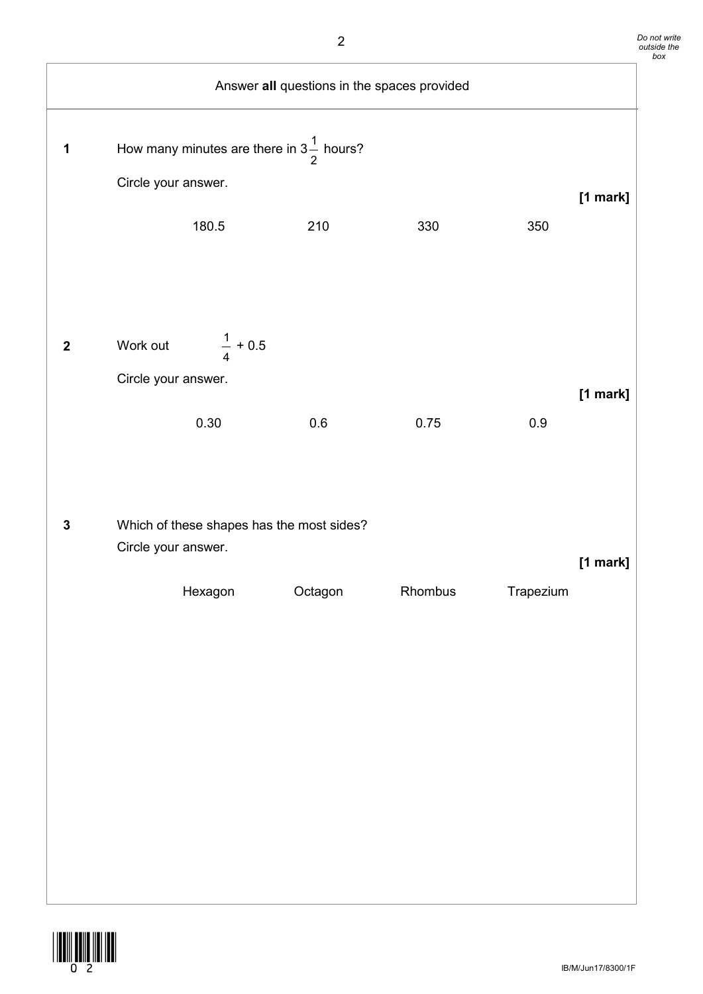| Answer all questions in the spaces provided |                                 |                                                              |         |         |           |          |
|---------------------------------------------|---------------------------------|--------------------------------------------------------------|---------|---------|-----------|----------|
| 1                                           | Circle your answer.             | How many minutes are there in $3\frac{1}{2}$ hours?<br>180.5 | 210     | 330     | 350       | [1 mark] |
| $\boldsymbol{2}$                            | Work out<br>Circle your answer. | $\frac{1}{4} + 0.5$<br>0.30                                  | 0.6     | 0.75    | $0.9\,$   | [1 mark] |
| $\mathbf 3$                                 | Circle your answer.             | Which of these shapes has the most sides?<br>Hexagon         | Octagon | Rhombus | Trapezium | [1 mark] |
|                                             |                                 |                                                              |         |         |           |          |
|                                             |                                 |                                                              |         |         |           |          |

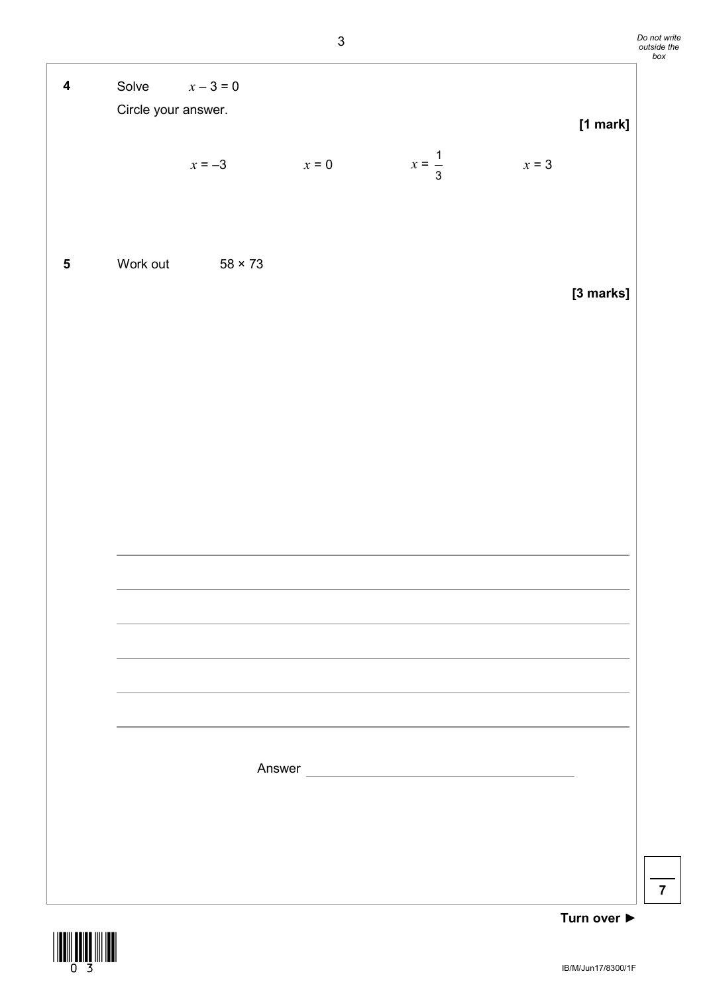| $\overline{\mathbf{4}}$ | Solve $x-3=0$<br>Circle your answer. |                         |         |                   |         | [1 mark]  |
|-------------------------|--------------------------------------|-------------------------|---------|-------------------|---------|-----------|
|                         |                                      | $x = -3$                | $x = 0$ | $x = \frac{1}{3}$ | $x = 3$ |           |
| $\sqrt{5}$              |                                      | Work out $58 \times 73$ |         |                   |         | [3 marks] |
|                         |                                      |                         |         |                   |         |           |
|                         |                                      |                         |         |                   |         |           |
|                         |                                      |                         |         |                   |         |           |
|                         |                                      |                         |         |                   |         |           |

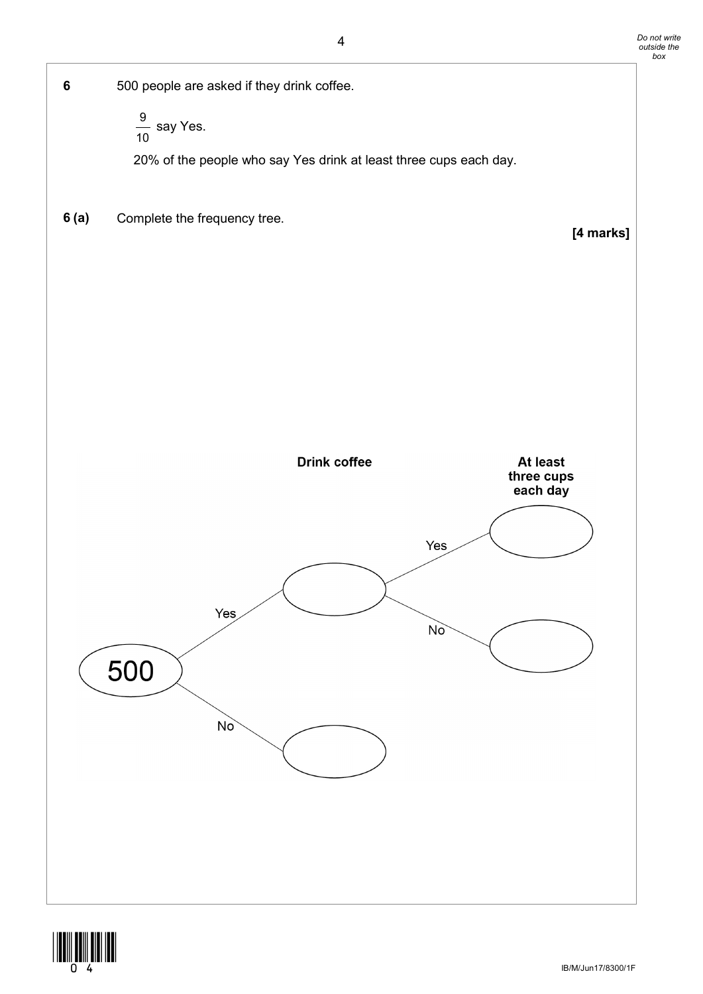



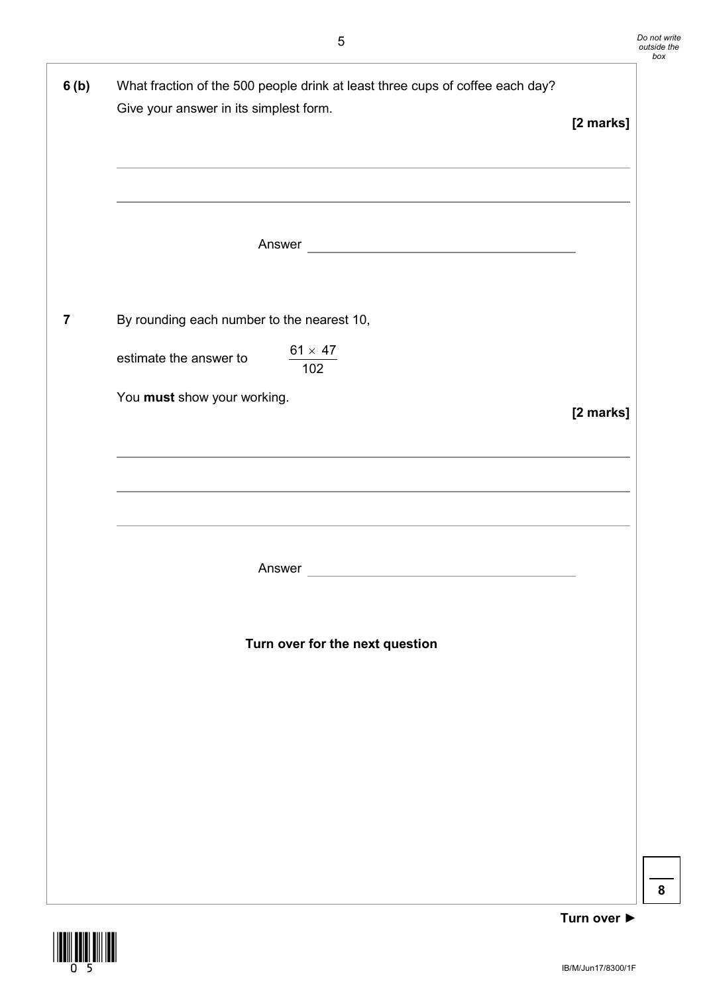| 6(b)                    | What fraction of the 500 people drink at least three cups of coffee each day?<br>Give your answer in its simplest form.<br>,我们也不能会有什么。""我们的人,我们也不能会有什么?""我们的人,我们也不能会有什么?""我们的人,我们也不能会有什么?""我们的人,我们也不能会有什么?""<br><u> 1989 - Johann Stoff, amerikansk politiker (d. 1989)</u> |           |  |
|-------------------------|-----------------------------------------------------------------------------------------------------------------------------------------------------------------------------------------------------------------------------------------------------------------------------|-----------|--|
|                         |                                                                                                                                                                                                                                                                             |           |  |
| $\overline{\mathbf{z}}$ | By rounding each number to the nearest 10,                                                                                                                                                                                                                                  |           |  |
|                         | $\frac{61\times47}{102}$<br>estimate the answer to                                                                                                                                                                                                                          |           |  |
|                         | You must show your working.                                                                                                                                                                                                                                                 | [2 marks] |  |
|                         | ,我们也不能在这里的时候,我们也不能在这里的时候,我们也不能不能不能会不能会不能会不能会不能会不能会不能会不能会。""我们,我们也不能会不能会不能会不能会不能会                                                                                                                                                                                            |           |  |
|                         | ,我们也不能在这里的时候,我们也不能在这里的时候,我们也不能会在这里的时候,我们也不能会在这里的时候,我们也不能会在这里的时候,我们也不能会在这里的时候,我们也不                                                                                                                                                                                           |           |  |
|                         |                                                                                                                                                                                                                                                                             |           |  |
|                         | Turn over for the next question                                                                                                                                                                                                                                             |           |  |
|                         |                                                                                                                                                                                                                                                                             |           |  |
|                         |                                                                                                                                                                                                                                                                             |           |  |
|                         |                                                                                                                                                                                                                                                                             |           |  |
|                         |                                                                                                                                                                                                                                                                             |           |  |
|                         |                                                                                                                                                                                                                                                                             |           |  |



**Turn over ►**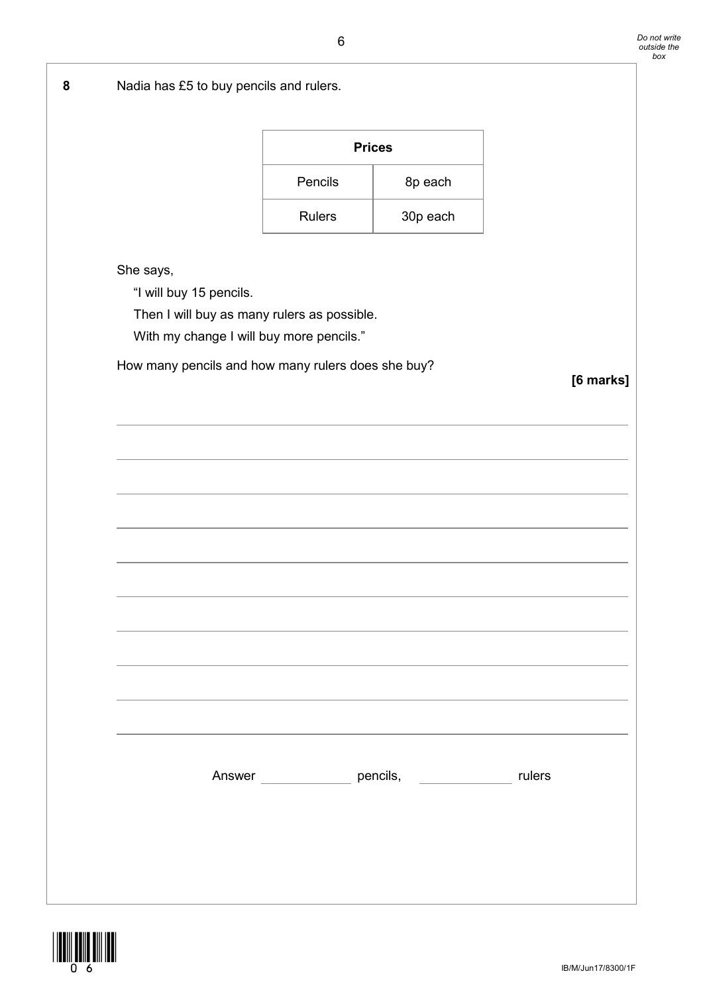| 8 | Nadia has £5 to buy pencils and rulers.                         |                                                         |          |  |  |  |
|---|-----------------------------------------------------------------|---------------------------------------------------------|----------|--|--|--|
|   |                                                                 | <b>Prices</b>                                           |          |  |  |  |
|   |                                                                 |                                                         |          |  |  |  |
|   |                                                                 | Pencils                                                 | 8p each  |  |  |  |
|   |                                                                 | <b>Rulers</b>                                           | 30p each |  |  |  |
|   | She says,                                                       |                                                         |          |  |  |  |
|   | "I will buy 15 pencils.                                         |                                                         |          |  |  |  |
|   | Then I will buy as many rulers as possible.                     |                                                         |          |  |  |  |
|   |                                                                 | With my change I will buy more pencils."                |          |  |  |  |
|   | How many pencils and how many rulers does she buy?<br>[6 marks] |                                                         |          |  |  |  |
|   |                                                                 |                                                         |          |  |  |  |
|   |                                                                 |                                                         |          |  |  |  |
|   |                                                                 |                                                         |          |  |  |  |
|   |                                                                 |                                                         |          |  |  |  |
|   |                                                                 |                                                         |          |  |  |  |
|   |                                                                 |                                                         |          |  |  |  |
|   |                                                                 |                                                         |          |  |  |  |
|   |                                                                 |                                                         |          |  |  |  |
|   |                                                                 |                                                         |          |  |  |  |
|   |                                                                 |                                                         |          |  |  |  |
|   |                                                                 |                                                         |          |  |  |  |
|   |                                                                 |                                                         |          |  |  |  |
|   |                                                                 |                                                         |          |  |  |  |
|   |                                                                 | Answer ________________ pencils, _______________ rulers |          |  |  |  |
|   |                                                                 |                                                         |          |  |  |  |
|   |                                                                 |                                                         |          |  |  |  |
|   |                                                                 |                                                         |          |  |  |  |
|   |                                                                 |                                                         |          |  |  |  |
|   |                                                                 |                                                         |          |  |  |  |

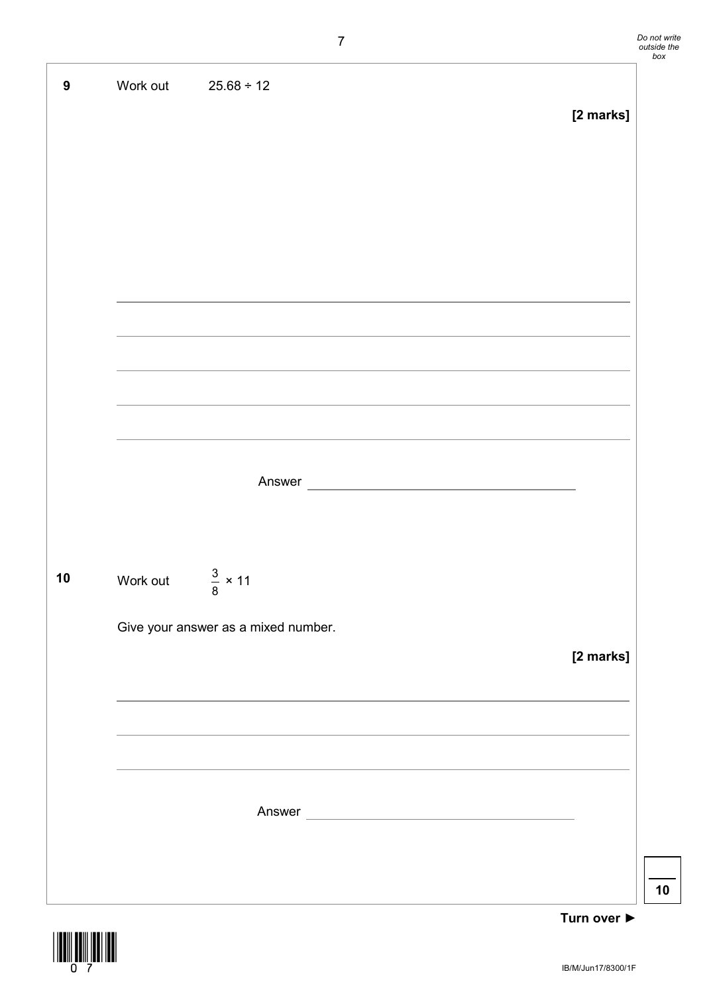**9** Work out 25.68 ÷ 12 **[2 marks]** Answer **10** Work out 8  $\frac{3}{5}$  × 11 Give your answer as a mixed number. **[2 marks]** Answer and the state of the state of the state of the state of the state of the state of the state of the state of the state of the state of the state of the state of the state of the state of the state of the state of the

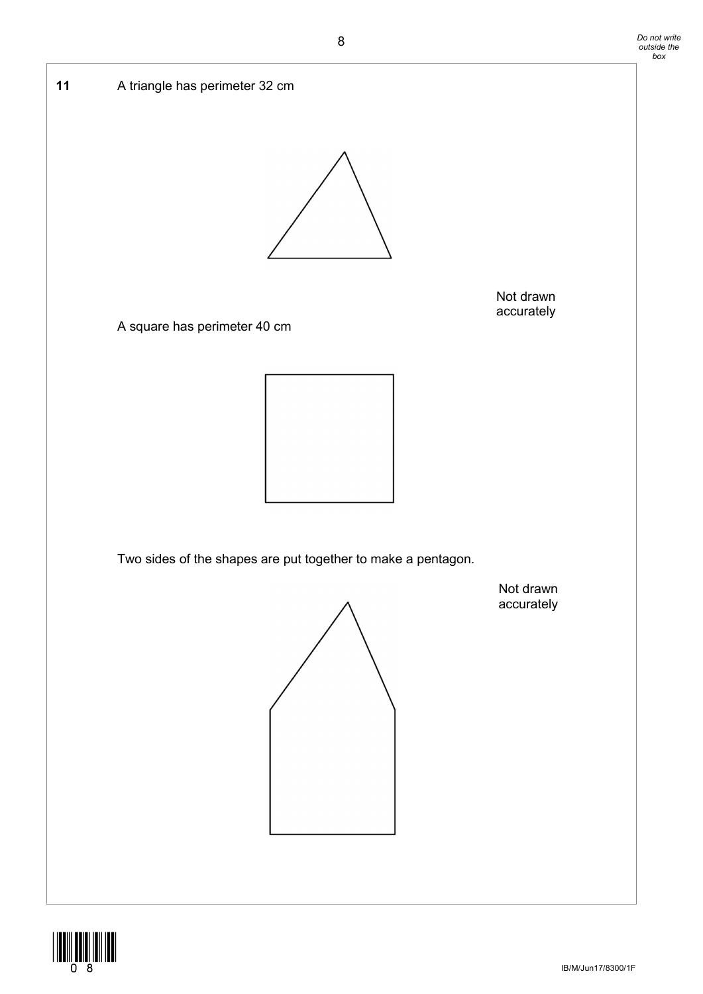

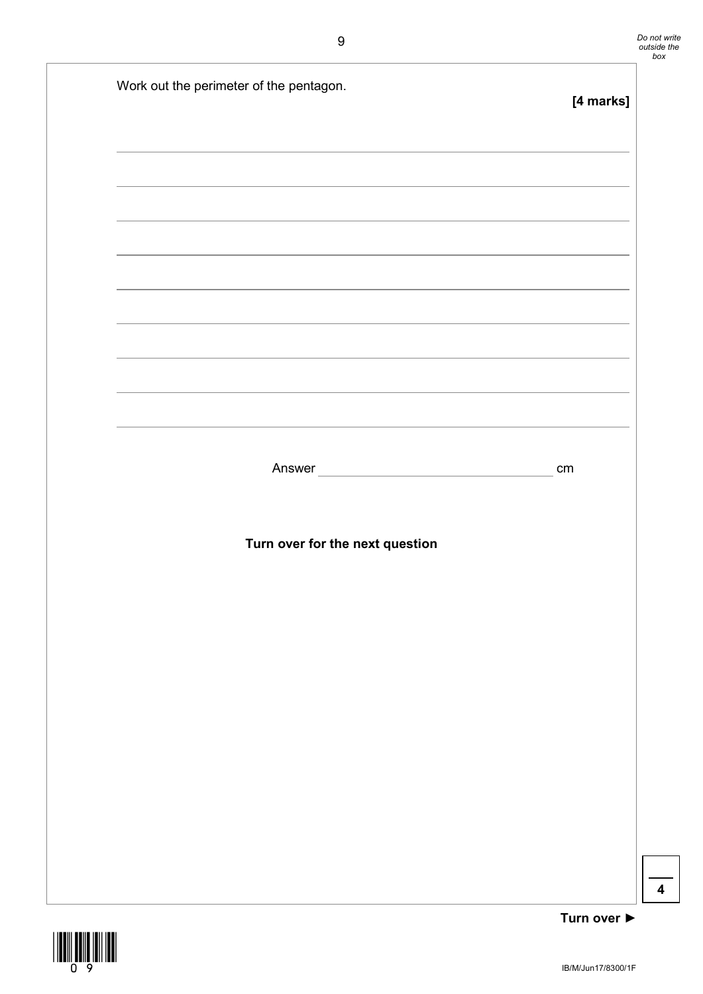| [4 marks]                       | Work out the perimeter of the pentagon.                                           |
|---------------------------------|-----------------------------------------------------------------------------------|
|                                 | ,我们也不能会有什么。""我们的人,我们也不能会有什么?""我们的人,我们也不能会有什么?""我们的人,我们也不能会有什么?""我们的人,我们也不能会有什么?"" |
|                                 |                                                                                   |
|                                 |                                                                                   |
|                                 | ,我们也不能在这里的时候,我们也不能在这里的时候,我们也不能会在这里,我们也不能会在这里的时候,我们也不能会在这里的时候,我们也不能会在这里的时候,我们也不能会  |
|                                 |                                                                                   |
|                                 |                                                                                   |
|                                 |                                                                                   |
| cm                              | Answer                                                                            |
|                                 |                                                                                   |
|                                 | Turn over for the next question                                                   |
|                                 |                                                                                   |
|                                 |                                                                                   |
|                                 |                                                                                   |
|                                 |                                                                                   |
|                                 |                                                                                   |
|                                 |                                                                                   |
|                                 |                                                                                   |
| Turn over $\blacktriangleright$ |                                                                                   |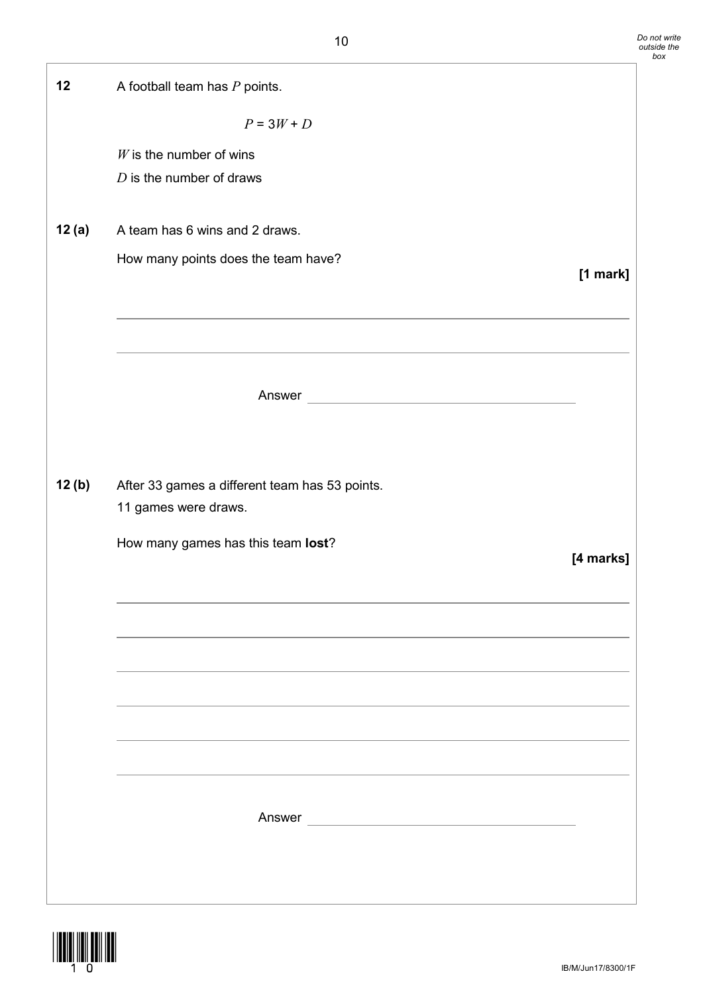| 12     | A football team has $P$ points.                |           |
|--------|------------------------------------------------|-----------|
|        | $P = 3W + D$                                   |           |
|        | $W$ is the number of wins                      |           |
|        | $D$ is the number of draws                     |           |
| 12 (a) | A team has 6 wins and 2 draws.                 |           |
|        | How many points does the team have?            | [1 mark]  |
|        |                                                |           |
|        |                                                |           |
|        |                                                |           |
|        | Answer                                         |           |
|        |                                                |           |
| 12(b)  | After 33 games a different team has 53 points. |           |
|        | 11 games were draws.                           |           |
|        | How many games has this team lost?             | [4 marks] |
|        |                                                |           |
|        |                                                |           |
|        |                                                |           |
|        |                                                |           |
|        |                                                |           |
|        |                                                |           |
|        |                                                |           |
|        |                                                |           |
|        |                                                |           |
|        |                                                |           |

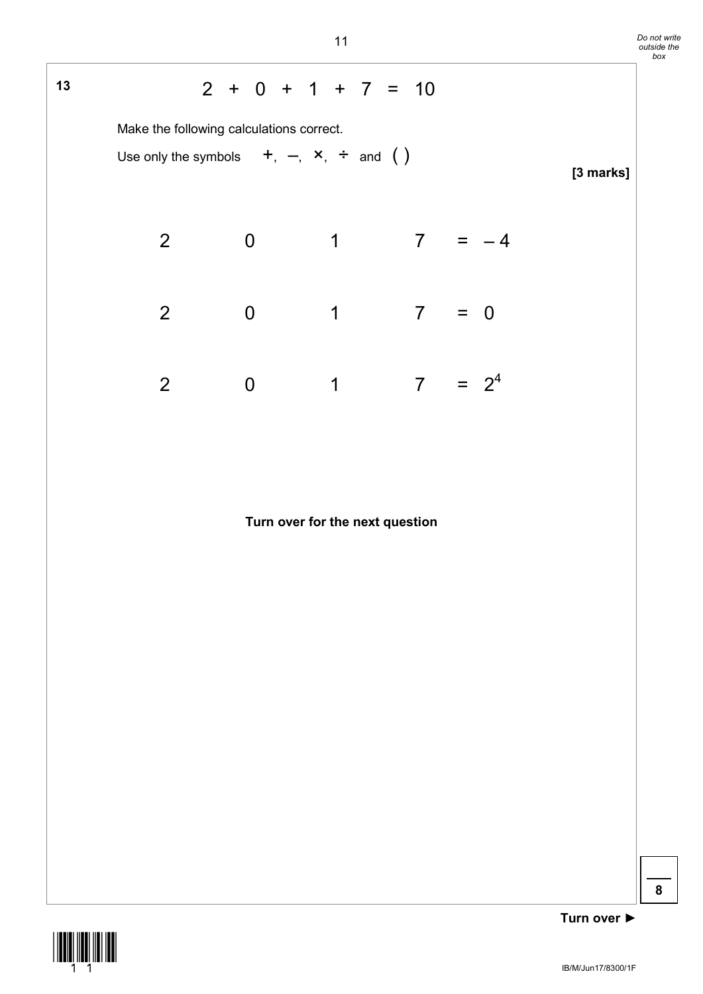| Do not write |
|--------------|
| outside the  |
| box          |

## **<sup>13</sup>** 2 + 0 + 1 + 7 = 10 Make the following calculations correct. Use only the symbols  $+, -, \times, \div$  and () **[3 marks]** 2 0 1 7 =  $-4$ 2 0 1 7 = 0 2 0 1 7 =  $2^4$

#### **Turn over for the next question**



**Turn over ►**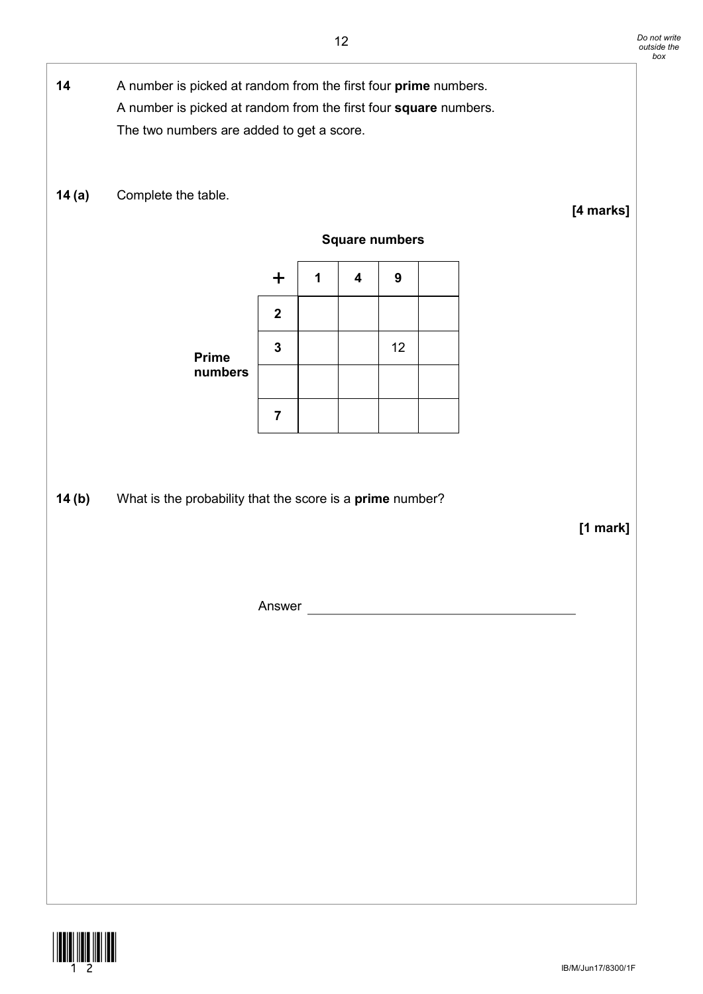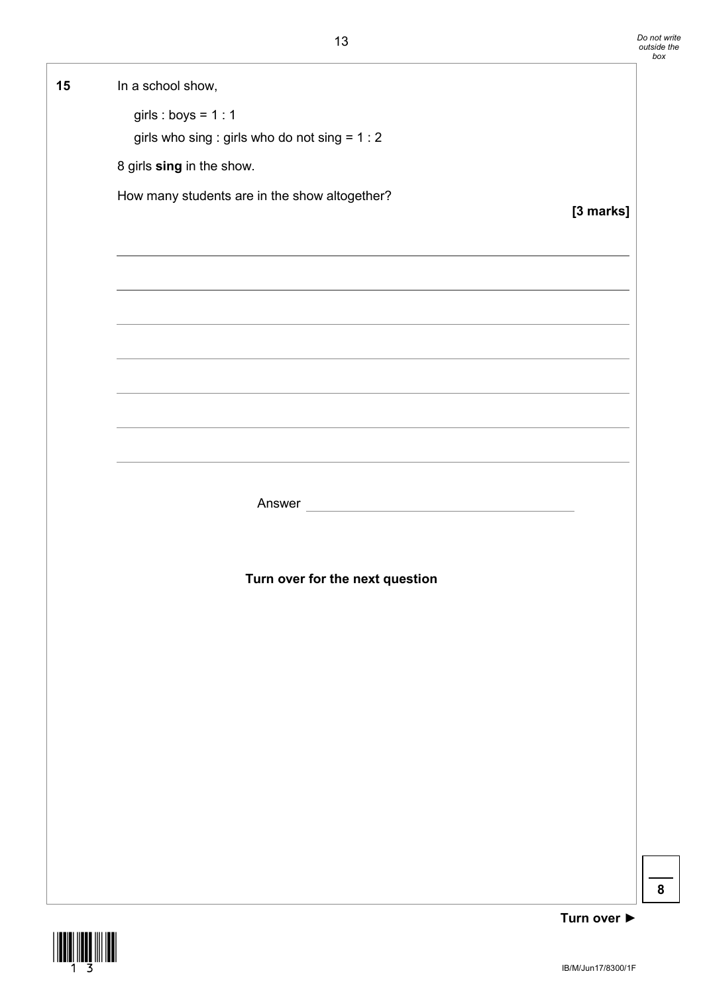

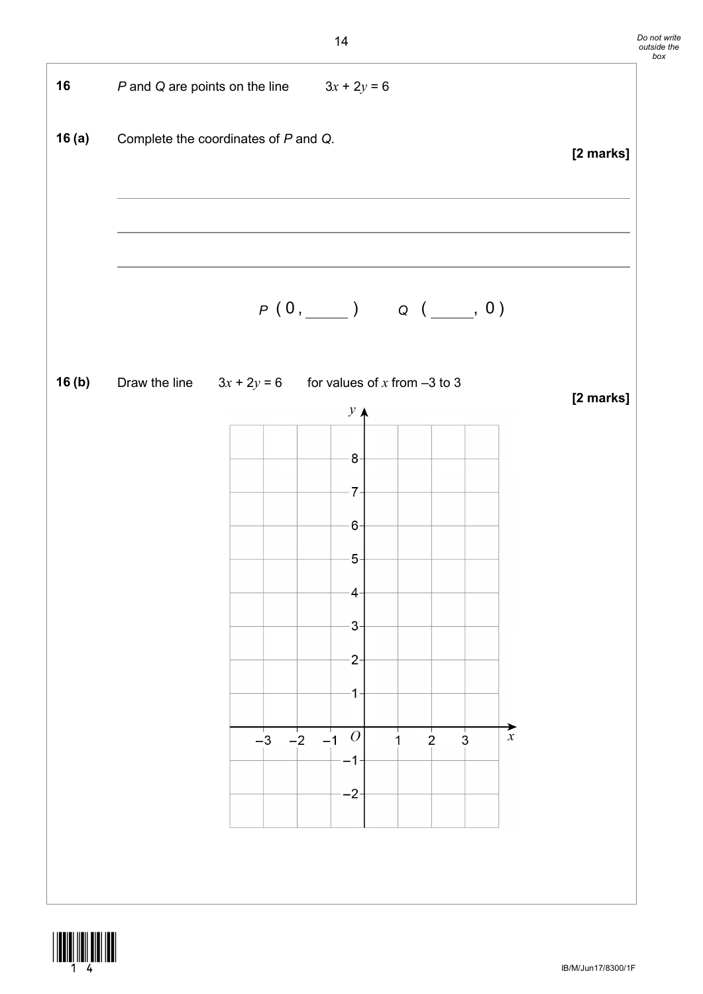

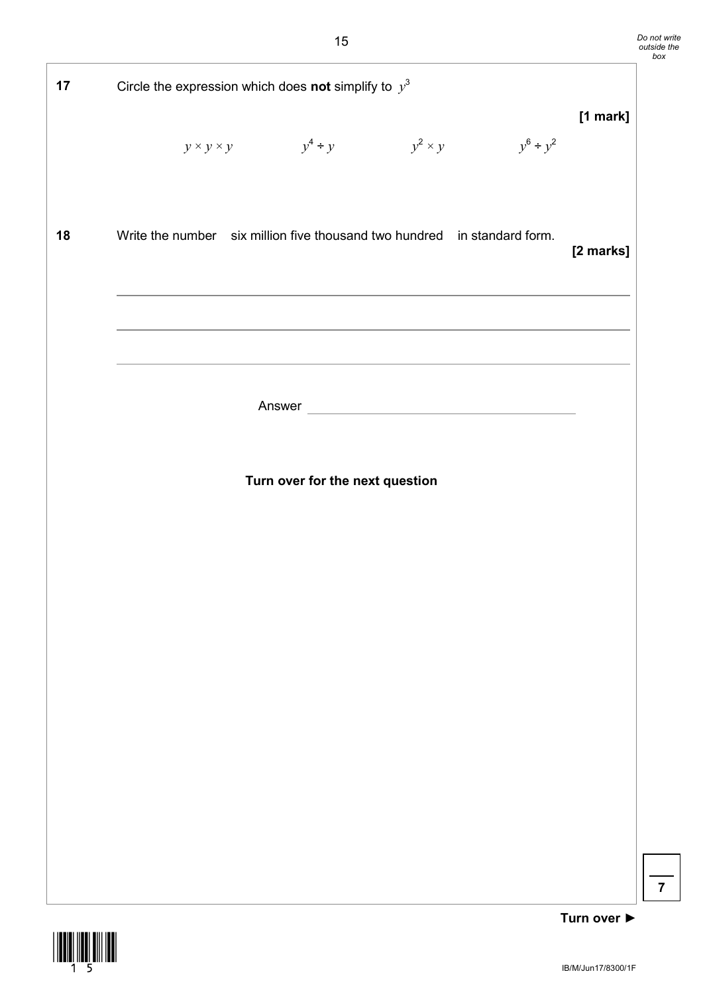| 17 | Circle the expression which does not simplify to $y^3$                   |                                                   |  |                |             |  |
|----|--------------------------------------------------------------------------|---------------------------------------------------|--|----------------|-------------|--|
|    |                                                                          | $y \times y \times y$ $y^4 \div y$ $y^2 \times y$ |  | $y^6 \div y^2$ | [1 mark]    |  |
| 18 | Write the number six million five thousand two hundred in standard form. |                                                   |  |                | [2 marks]   |  |
|    |                                                                          |                                                   |  |                |             |  |
|    |                                                                          |                                                   |  |                |             |  |
|    |                                                                          | Turn over for the next question                   |  |                |             |  |
|    |                                                                          |                                                   |  |                |             |  |
|    |                                                                          |                                                   |  |                |             |  |
|    |                                                                          |                                                   |  |                |             |  |
|    |                                                                          |                                                   |  |                |             |  |
|    |                                                                          |                                                   |  |                |             |  |
|    |                                                                          |                                                   |  |                |             |  |
|    |                                                                          |                                                   |  |                | Turn over ▶ |  |

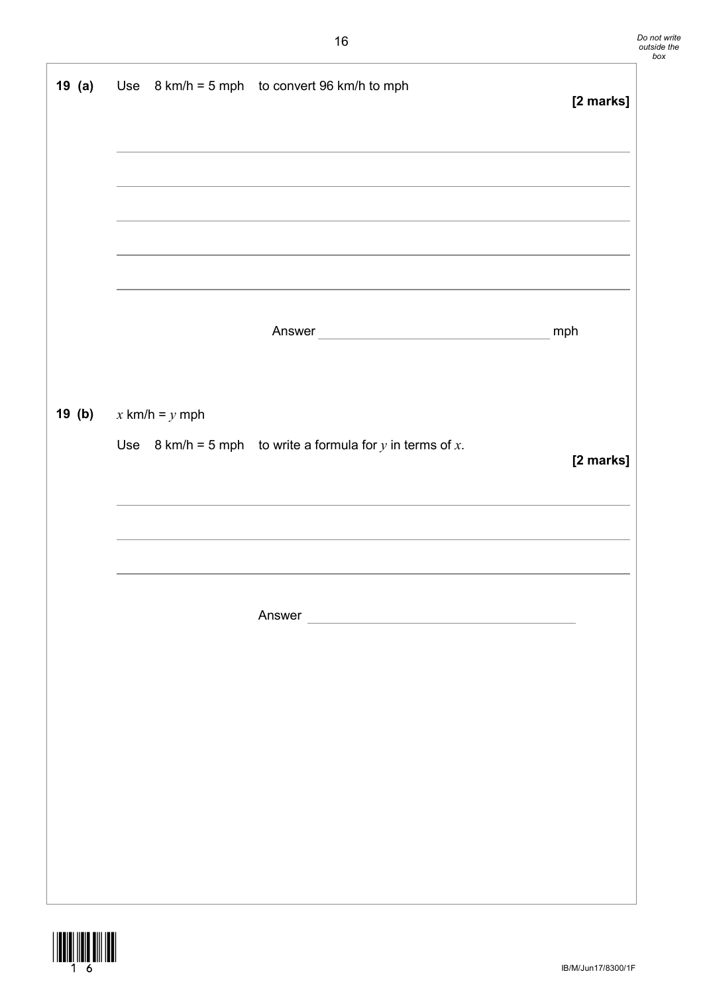|                                  | 19 (a) Use $8 \text{ km/h} = 5 \text{ mph}$ to convert 96 km/h to mph        | [2 marks] |
|----------------------------------|------------------------------------------------------------------------------|-----------|
|                                  |                                                                              |           |
|                                  |                                                                              | mph       |
| <b>19 (b)</b> $x$ km/h = $y$ mph |                                                                              |           |
|                                  | Use $8 \text{ km/h} = 5 \text{ mph}$ to write a formula for y in terms of x. | [2 marks] |
|                                  |                                                                              |           |
|                                  |                                                                              |           |
|                                  |                                                                              |           |
|                                  |                                                                              |           |
|                                  |                                                                              |           |
|                                  |                                                                              |           |

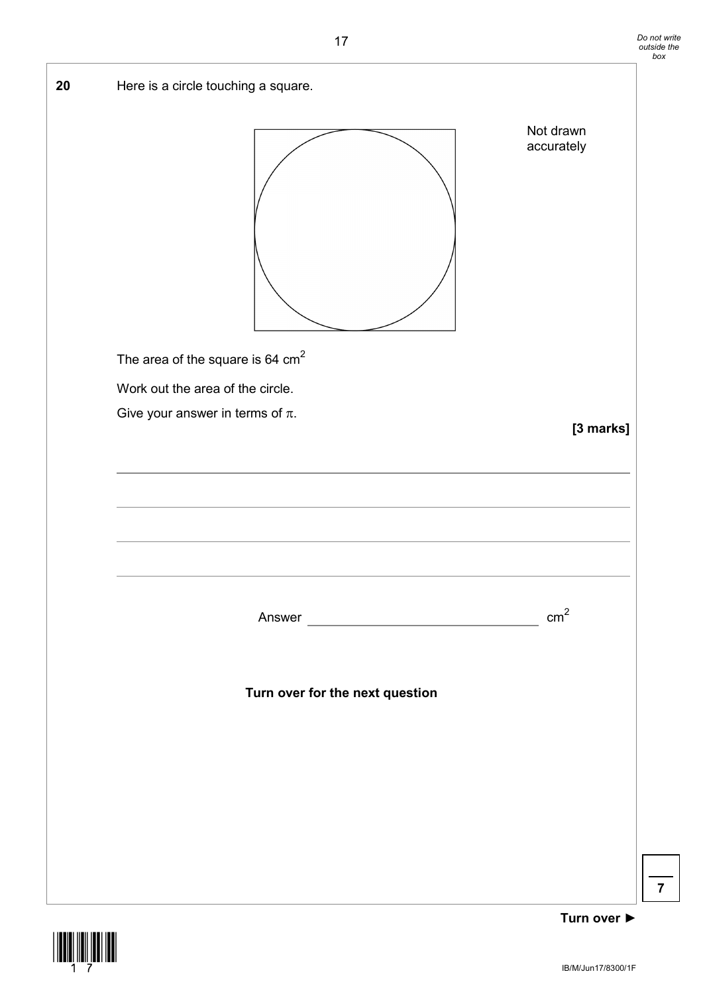



**Turn over ►**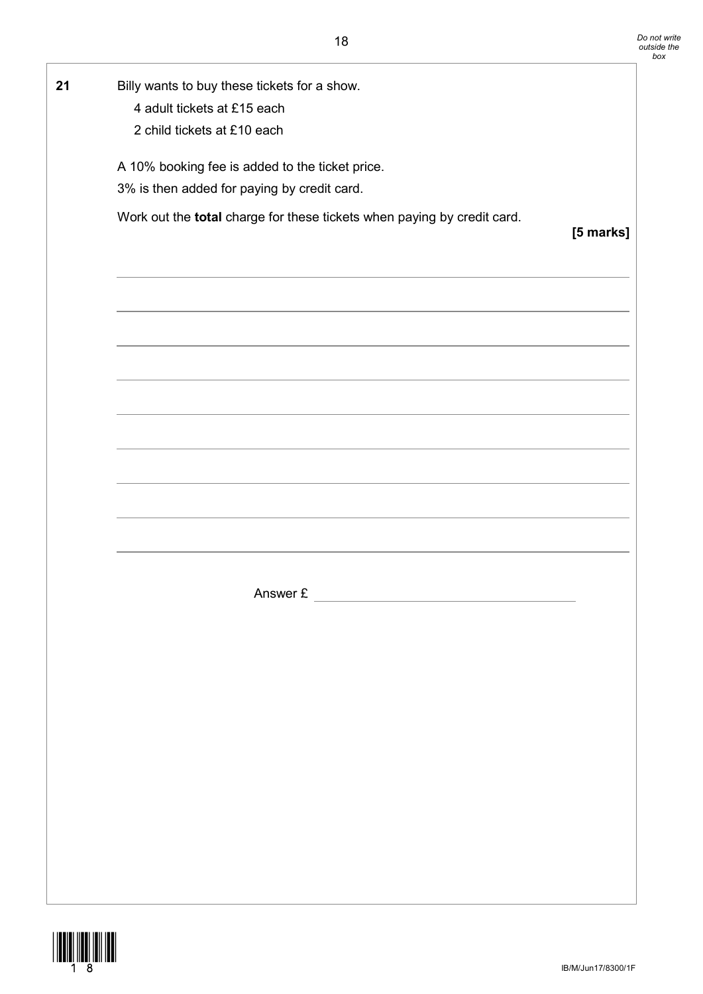| 21 | Billy wants to buy these tickets for a show.                                                                                                                                                                                  |           |
|----|-------------------------------------------------------------------------------------------------------------------------------------------------------------------------------------------------------------------------------|-----------|
|    | 4 adult tickets at £15 each                                                                                                                                                                                                   |           |
|    | 2 child tickets at £10 each                                                                                                                                                                                                   |           |
|    | A 10% booking fee is added to the ticket price.                                                                                                                                                                               |           |
|    | 3% is then added for paying by credit card.                                                                                                                                                                                   |           |
|    | Work out the total charge for these tickets when paying by credit card.                                                                                                                                                       | [5 marks] |
|    |                                                                                                                                                                                                                               |           |
|    |                                                                                                                                                                                                                               |           |
|    | the control of the control of the control of the control of the control of the control of the control of the control of the control of the control of the control of the control of the control of the control of the control |           |
|    |                                                                                                                                                                                                                               |           |
|    |                                                                                                                                                                                                                               |           |
|    |                                                                                                                                                                                                                               |           |
|    | <u> 1989 - Johann Stein, mars an deutscher Stein und der Stein und der Stein und der Stein und der Stein und der</u>                                                                                                          |           |
|    |                                                                                                                                                                                                                               |           |
|    |                                                                                                                                                                                                                               |           |
|    |                                                                                                                                                                                                                               |           |
|    |                                                                                                                                                                                                                               |           |
|    |                                                                                                                                                                                                                               |           |
|    |                                                                                                                                                                                                                               |           |
|    | Answer £                                                                                                                                                                                                                      |           |
|    |                                                                                                                                                                                                                               |           |
|    |                                                                                                                                                                                                                               |           |
|    |                                                                                                                                                                                                                               |           |
|    |                                                                                                                                                                                                                               |           |
|    |                                                                                                                                                                                                                               |           |
|    |                                                                                                                                                                                                                               |           |
|    |                                                                                                                                                                                                                               |           |
|    |                                                                                                                                                                                                                               |           |
|    |                                                                                                                                                                                                                               |           |
|    |                                                                                                                                                                                                                               |           |
|    |                                                                                                                                                                                                                               |           |
|    |                                                                                                                                                                                                                               |           |
|    |                                                                                                                                                                                                                               |           |

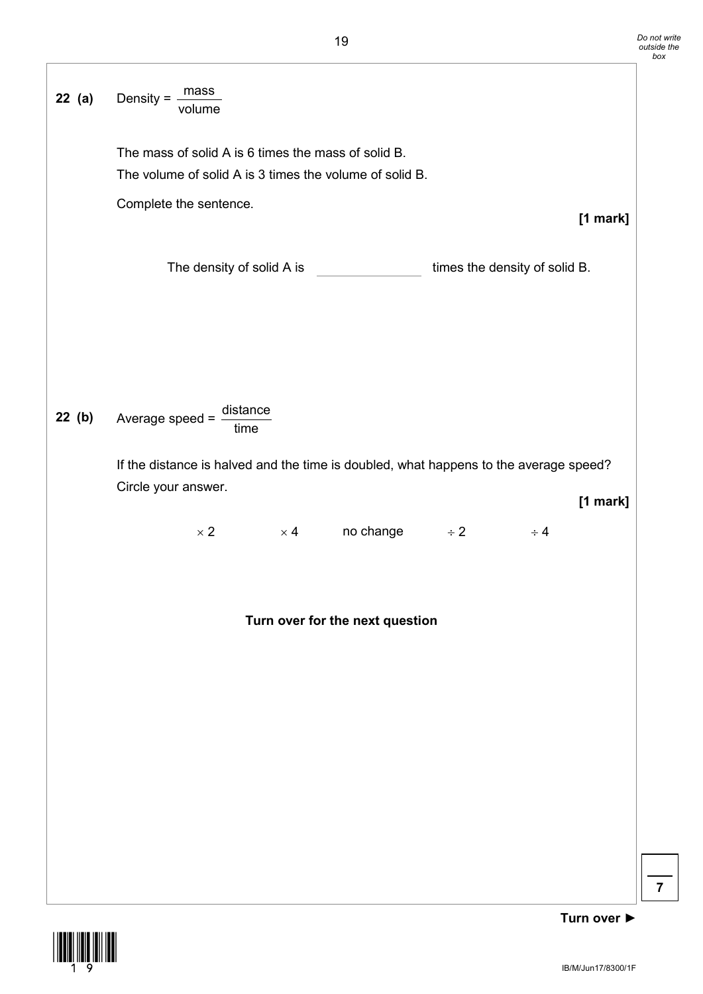

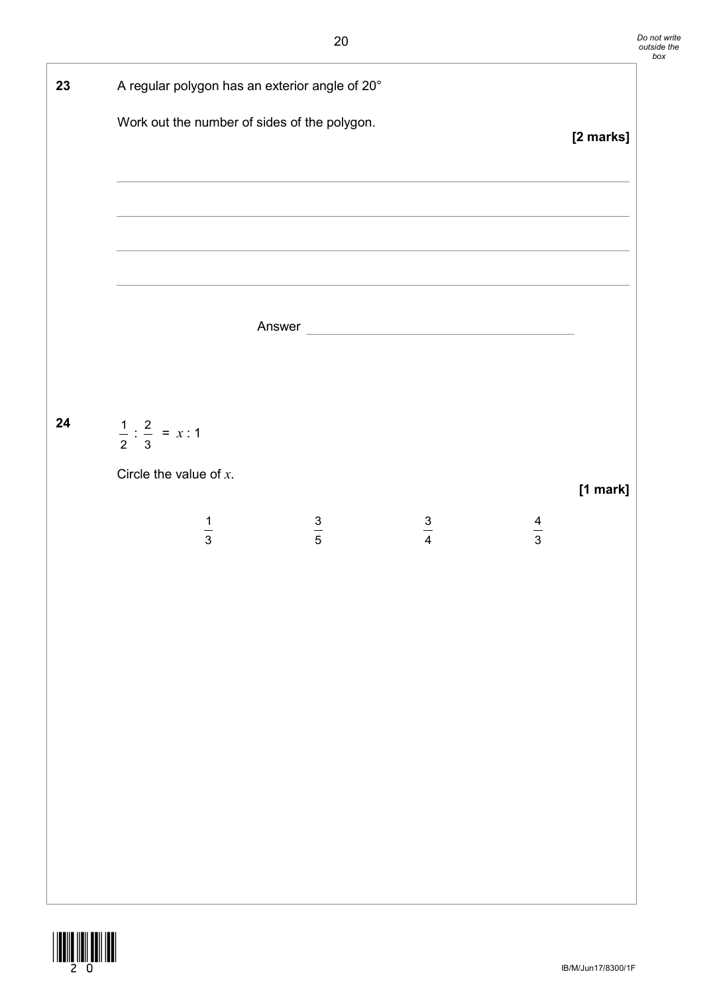

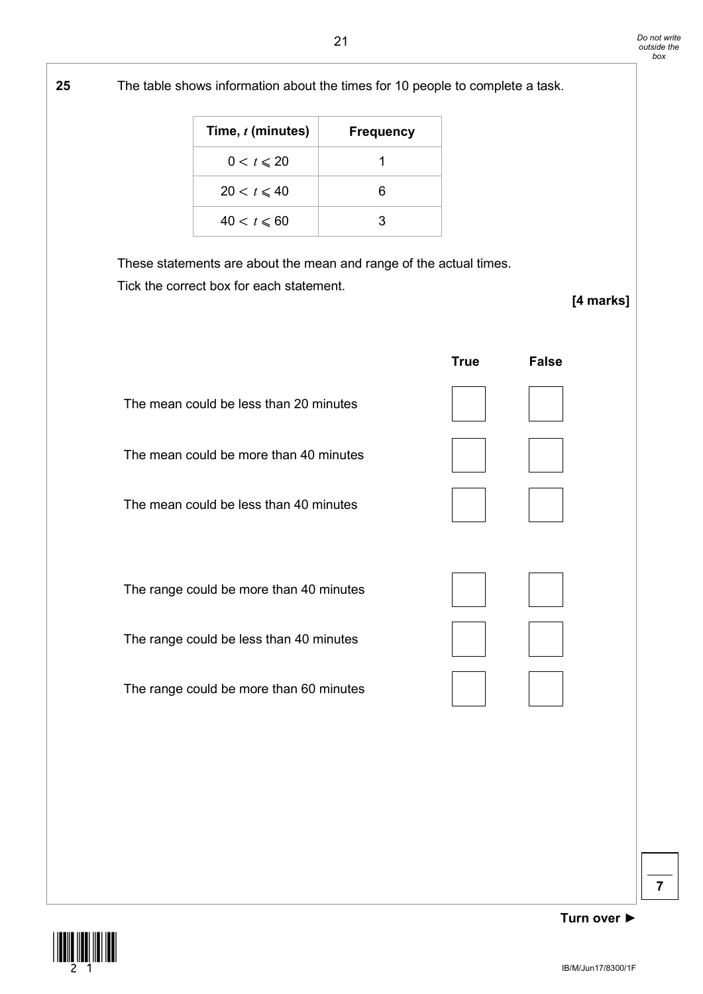

**Turn over ►**

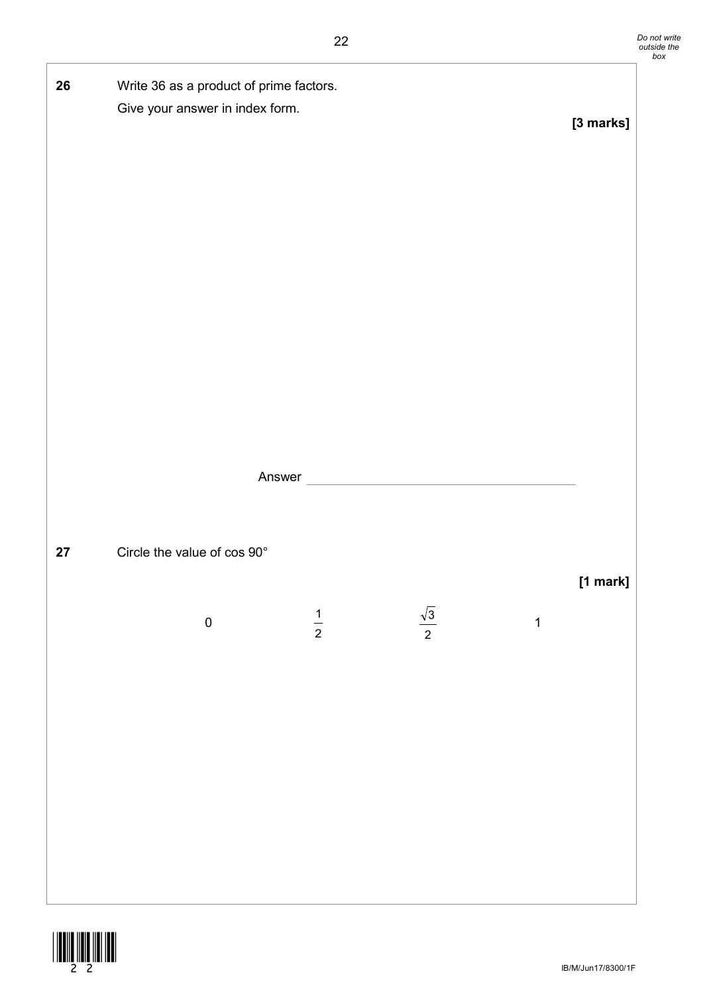| 26         | Write 36 as a product of prime factors.<br>Give your answer in index form. |               |                      |              | [3 marks] |
|------------|----------------------------------------------------------------------------|---------------|----------------------|--------------|-----------|
|            |                                                                            |               | Answer               |              |           |
| ${\bf 27}$ | Circle the value of cos 90°                                                |               |                      |              | [1 mark]  |
|            | ${\bf 0}$                                                                  | $\frac{1}{2}$ | $\frac{\sqrt{3}}{2}$ | $\mathbf{1}$ |           |
|            |                                                                            |               |                      |              |           |

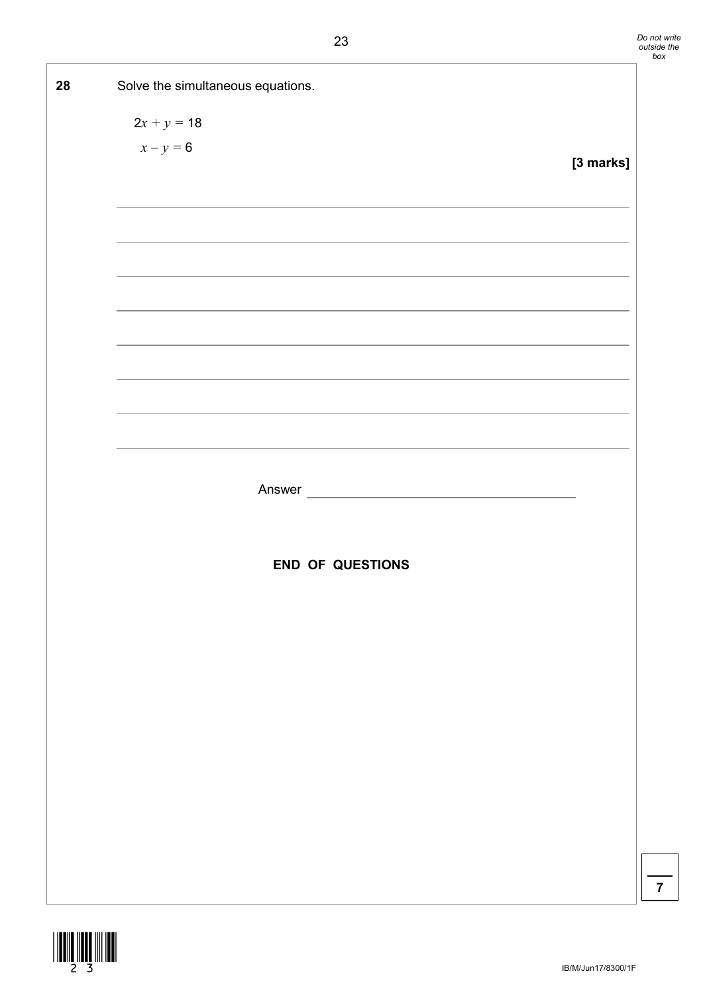